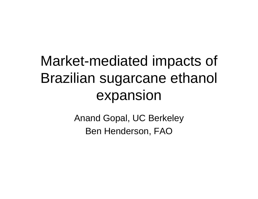# Market-mediated impacts of Brazilian sugarcane ethanol expansion

Anand Gopal, UC Berkeley Ben Henderson, FAO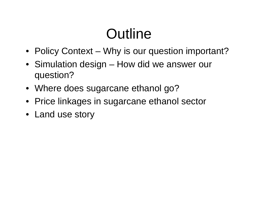# **Outline**

- Policy Context Why is our question important?
- Simulation design How did we answer our question?
- Where does sugarcane ethanol go?
- Price linkages in sugarcane ethanol sector
- Land use story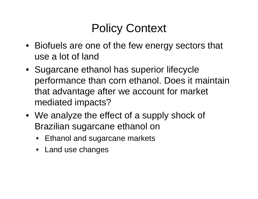### Policy Context

- Biofuels are one of the few energy sectors that use a lot of land
- Sugarcane ethanol has superior lifecycle performance than corn ethanol. Does it maintain that advantage after we account for market mediated impacts?
- We analyze the effect of a supply shock of Brazilian sugarcane ethanol on
	- Ethanol and sugarcane markets
	- Land use changes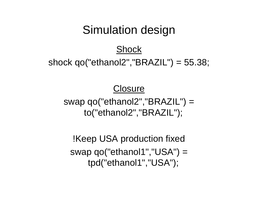### Simulation design

#### **Shock**

#### shock qo("ethanol2","BRAZIL") = 55.38;

#### Closure

swap qo("ethanol2","BRAZIL") = to("ethanol2","BRAZIL");

!Keep USA production fixed swap qo("ethanol1","USA") = tpd("ethanol1","USA");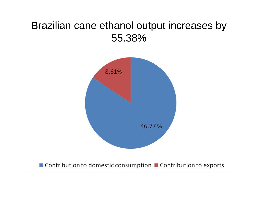#### Brazilian cane ethanol output increases by 55.38%

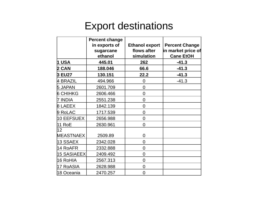#### Export destinations

|                    | <b>Percent change</b><br>in exports of<br>sugarcane<br>ethanol | <b>Ethanol export</b><br>flows after<br>simulation | <b>Percent Change</b><br>in market price of<br><b>Cane EtOH</b> |
|--------------------|----------------------------------------------------------------|----------------------------------------------------|-----------------------------------------------------------------|
| 1 USA              | 445.01                                                         | 262                                                | $-41.3$                                                         |
| 2 CAN              | 188.046                                                        | 66.6                                               | $-41.3$                                                         |
| <b>3 EU27</b>      | 130.151                                                        | 22.2                                               | $-41.3$                                                         |
| 4 BRAZIL           | 494.966                                                        | $\overline{0}$                                     | $-41.3$                                                         |
| <b>5 JAPAN</b>     | 2601.709                                                       | $\overline{0}$                                     |                                                                 |
| <b>6 CHIHKG</b>    | 2606.466                                                       | $\overline{0}$                                     |                                                                 |
| 7 INDIA            | 2551.238                                                       | $\overline{0}$                                     |                                                                 |
| <b>8 LAEEX</b>     | 1842.139                                                       | $\overline{0}$                                     |                                                                 |
| 9 RoLAC            | 1717.539                                                       | $\overline{0}$                                     |                                                                 |
| 10 EEFSUEX         | 2656.988                                                       | $\overline{0}$                                     |                                                                 |
| <b>11 RoE</b>      | 2630.961                                                       | $\overline{0}$                                     |                                                                 |
| 12                 |                                                                |                                                    |                                                                 |
| MEASTNAEX          | 2509.89                                                        | $\overline{0}$                                     |                                                                 |
| 13 SSAEX           | 2342.028                                                       | $\overline{0}$                                     |                                                                 |
| 14 RoAFR           | 2332.888                                                       | $\overline{0}$                                     |                                                                 |
| <b>15 SASIAEEX</b> | 2409.492                                                       | $\overline{0}$                                     |                                                                 |
| 16 RoHIA           | 2567.313                                                       | $\overline{0}$                                     |                                                                 |
| 17 RoASIA          | 2628.988                                                       | $\overline{0}$                                     |                                                                 |
| 18 Oceania         | 2470.257                                                       | $\Omega$                                           |                                                                 |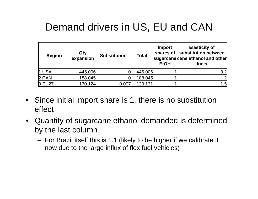### Demand drivers in US, EU and CAN

| <b>Region</b> | Qty<br>expansion | <b>Substitution</b> | <b>Total</b> | Import<br>shares of $\vert$<br><b>EtOH</b> | <b>Elasticity of</b><br>substitution between<br>sugarcane cane ethanol and other<br>fuels |
|---------------|------------------|---------------------|--------------|--------------------------------------------|-------------------------------------------------------------------------------------------|
| 1 USA         | 445.006          |                     | 445.006      |                                            | 3.2                                                                                       |
| 2 CAN         | 188.045          |                     | 188.045      |                                            |                                                                                           |
| 3 EU27        | 130.124          | 0.007               | 130.131      |                                            | 1.5                                                                                       |

- Since initial import share is 1, there is no substitution effect
- Quantity of sugarcane ethanol demanded is determined by the last column.
	- For Brazil itself this is 1.1 (likely to be higher if we calibrate it now due to the large influx of flex fuel vehicles)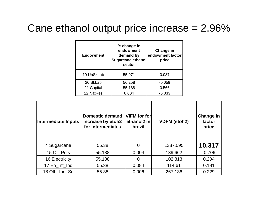### Cane ethanol output price increase = 2.96%

| <b>Endowment</b> | % change in<br>endowment<br>demand by<br>Sugarcane ethanol<br>sector | Change in<br>endowment factor<br>price |
|------------------|----------------------------------------------------------------------|----------------------------------------|
| 19 UnSkLab       | 55.971                                                               | 0.087                                  |
| 20 SkLab         | 56.258                                                               | $-0.059$                               |
| 21 Capital       | 55.188                                                               | 0.566                                  |
| 22 NatRes        | 0.004                                                                | $-6.033$                               |

| Intermediate Inputs   | <b>Domestic demand</b><br>increase by etoh2<br>for intermediates | VIFM for for<br>ethanol2 in<br>brazil | <b>VDFM (etoh2)</b> | <b>Change in</b><br>factor<br>price |
|-----------------------|------------------------------------------------------------------|---------------------------------------|---------------------|-------------------------------------|
| 4 Sugarcane           | 55.38                                                            | $\overline{0}$                        | 1387.095            | 10.317                              |
| 15 Oil Pcts           | 55.188                                                           | 0.004                                 | 139.662             | $-0.706$                            |
| <b>16 Electricity</b> | 55.188                                                           |                                       | 102.813             | 0.204                               |
| 17 En_Int_Ind         | 55.38                                                            | 0.084                                 | 114.61              | 0.181                               |
| 18 Oth_Ind_Se         | 55.38                                                            | 0.006                                 | 267.136             | 0.229                               |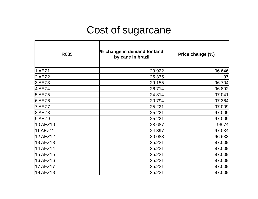### Cost of sugarcane

| R035            | % change in demand for land<br>by cane in brazil | Price change (%) |
|-----------------|--------------------------------------------------|------------------|
| 1 AEZ1          | 29.922                                           | 96.646           |
| 2 AEZ2          | 25.335                                           | 97               |
| 3 AEZ3          | 29.155                                           | 96.704           |
| 4 AEZ4          | 26.714                                           | 96.892           |
| <b>5 AEZ5</b>   | 24.814                                           | 97.041           |
| 6 AEZ6          | 20.794                                           | 97.364           |
| 7 AEZ7          | 25.221                                           | 97.009           |
| 8 AEZ8          | 25.221                                           | 97.009           |
| $9$ AEZ $9$     | 25.221                                           | 97.009           |
| 10 AEZ10        | 28.687                                           | 96.74            |
| <b>11 AEZ11</b> | 24.897                                           | 97.034           |
| 12 AEZ12        | 30.088                                           | 96.633           |
| 13 AEZ13        | 25.221                                           | 97.009           |
| 14 AEZ14        | 25.221                                           | 97.009           |
| 15 AEZ15        | 25.221                                           | 97.009           |
| 16 AEZ16        | 25.221                                           | 97.009           |
| <b>17 AEZ17</b> | 25.221                                           | 97.009           |
| 18 AEZ18        | 25.221                                           | 97.009           |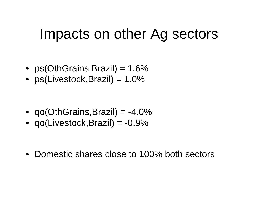### Impacts on other Ag sectors

- ps(OthGrains,Brazil) = 1.6%
- ps(Livestock,Brazil) = 1.0%

- qo(OthGrains,Brazil) = -4.0%
- qo(Livestock,Brazil) = -0.9%

• Domestic shares close to 100% both sectors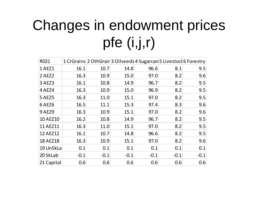# Changes in endowment prices pfe (i,j,r)

| R021            |        |        | 1 CrGrains 2 OthGrain 3 Oilseeds 4 Sugarcan 5 Livestocl 6 Forestry |        |        |        |
|-----------------|--------|--------|--------------------------------------------------------------------|--------|--------|--------|
| 1 AEZ1          | 16.1   | 10.7   | 14.8                                                               | 96.6   | 8.1    | 9.5    |
| 2 AEZ2          | 16.3   | 10.9   | 15.0                                                               | 97.0   | 8.2    | 9.6    |
| 3 AEZ3          | 16.1   | 10.8   | 14.9                                                               | 96.7   | 8.2    | 9.5    |
| 4 AEZ4          | 16.3   | 10.9   | 15.0                                                               | 96.9   | 8.2    | 9.5    |
| <b>5 AEZ5</b>   | 16.3   | 11.0   | 15.1                                                               | 97.0   | 8.2    | 9.5    |
| 6AEZ6           | 16.5   | 11.1   | 15.3                                                               | 97.4   | 8.3    | 9.6    |
| <b>9 AEZ9</b>   | 16.3   | 10.9   | 15.1                                                               | 97.0   | 8.2    | 9.6    |
| <b>10 AEZ10</b> | 16.2   | 10.8   | 14.9                                                               | 96.7   | 8.2    | 9.5    |
| 11 AEZ11        | 16.3   | 11.0   | 15.1                                                               | 97.0   | 8.2    | 9.5    |
| 12 AEZ12        | 16.1   | 10.7   | 14.8                                                               | 96.6   | 8.2    | 9.5    |
| <b>18 AEZ18</b> | 16.3   | 10.9   | 15.1                                                               | 97.0   | 8.2    | 9.6    |
| 19 UnSkLa       | 0.1    | 0.1    | 0.1                                                                | 0.1    | 0.1    | 0.1    |
| 20 SkLab        | $-0.1$ | $-0.1$ | $-0.1$                                                             | $-0.1$ | $-0.1$ | $-0.1$ |
| 21 Capital      | 0.6    | 0.6    | 0.6                                                                | 0.6    | 0.6    | 0.6    |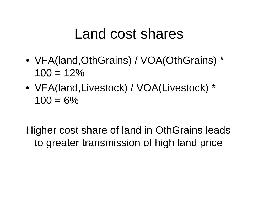### Land cost shares

- VFA(land,OthGrains) / VOA(OthGrains) \*  $100 = 12\%$
- VFA(land,Livestock) / VOA(Livestock) \*  $100 = 6\%$

Higher cost share of land in OthGrains leads to greater transmission of high land price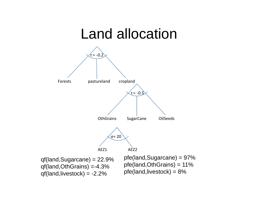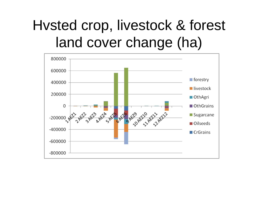## Hvsted crop, livestock & forest land cover change (ha)

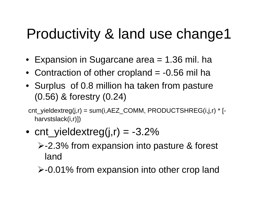## Productivity & land use change1

- Expansion in Sugarcane area = 1.36 mil. ha
- Contraction of other cropland = -0.56 mil ha
- Surplus of 0.8 million ha taken from pasture (0.56) & forestry (0.24)

cnt\_yieldextreg(j,r) = sum(i,AEZ\_COMM, PRODUCTSHREG(i,j,r) \* [ harvstslack(i,r)])

- cnt\_yieldextreg(j,r) = -3.2% -2.3% from expansion into pasture & forest land
	- **≻-0.01% from expansion into other crop land**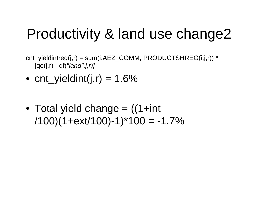## Productivity & land use change2

- cnt\_yieldintreg(j,r) = sum(i,AEZ\_COMM, PRODUCTSHREG(i,j,r)) \* [qo(j,r) - qf(*"land",j,r)]*
- $\bullet\$  cnt\_yieldint(j,r) = 1.6%
- Total yield change = ((1+int  $/100$  $(1+ext/100)$ -1)\*100 = -1.7%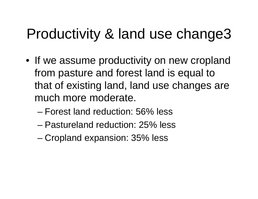## Productivity & land use change3

- If we assume productivity on new cropland from pasture and forest land is equal to that of existing land, land use changes are much more moderate.
	- Forest land reduction: 56% less
	- Pastureland reduction: 25% less
	- Cropland expansion: 35% less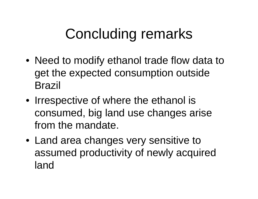## Concluding remarks

- Need to modify ethanol trade flow data to get the expected consumption outside Brazil
- Irrespective of where the ethanol is consumed, big land use changes arise from the mandate.
- Land area changes very sensitive to assumed productivity of newly acquired land